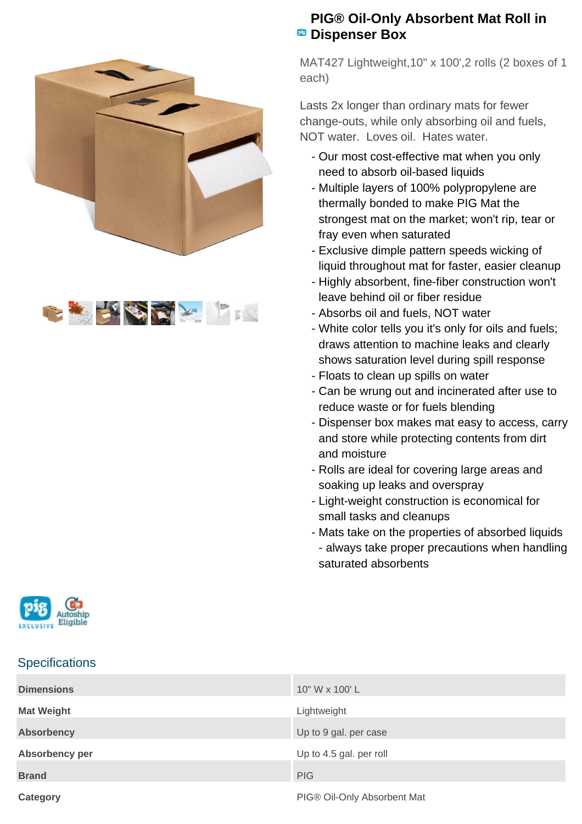



## **PIG® Oil-Only Absorbent Mat Roll in PB** Dispenser Box

MAT427 Lightweight,10" x 100',2 rolls (2 boxes of 1 each)

Lasts 2x longer than ordinary mats for fewer change-outs, while only absorbing oil and fuels, NOT water. Loves oil. Hates water.

- Our most cost-effective mat when you only need to absorb oil-based liquids
- Multiple layers of 100% polypropylene are thermally bonded to make PIG Mat the strongest mat on the market; won't rip, tear or fray even when saturated
- Exclusive dimple pattern speeds wicking of liquid throughout mat for faster, easier cleanup
- Highly absorbent, fine-fiber construction won't leave behind oil or fiber residue
- Absorbs oil and fuels, NOT water
- White color tells you it's only for oils and fuels; draws attention to machine leaks and clearly shows saturation level during spill response
- Floats to clean up spills on water
- Can be wrung out and incinerated after use to reduce waste or for fuels blending
- Dispenser box makes mat easy to access, carry and store while protecting contents from dirt and moisture
- Rolls are ideal for covering large areas and soaking up leaks and overspray
- Light-weight construction is economical for small tasks and cleanups
- Mats take on the properties of absorbed liquids - always take proper precautions when handling saturated absorbents

|           | $-$<br>٦ |
|-----------|----------|
| vв<br>. . |          |

## **Specifications**

| <b>Dimensions</b> | 10" W x 100' L              |
|-------------------|-----------------------------|
| <b>Mat Weight</b> | Lightweight                 |
| <b>Absorbency</b> | Up to 9 gal. per case       |
| Absorbency per    | Up to 4.5 gal. per roll     |
| <b>Brand</b>      | <b>PIG</b>                  |
| Category          | PIG® Oil-Only Absorbent Mat |